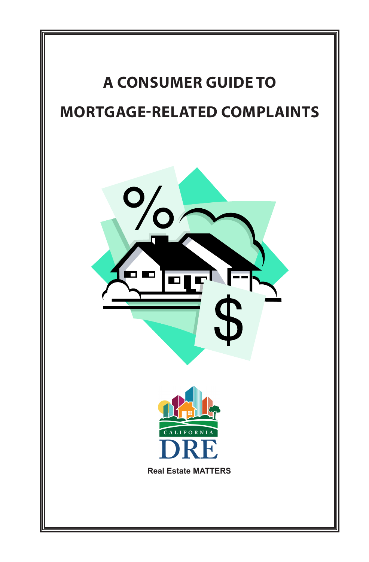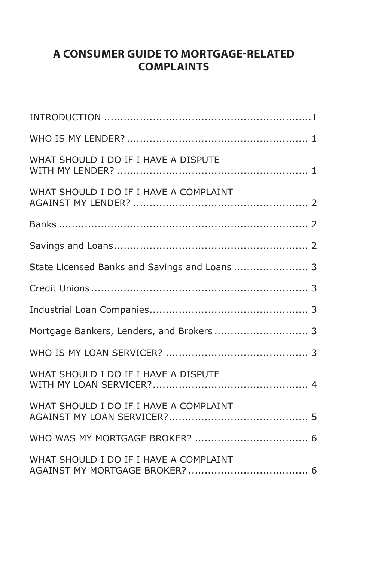## **A CONSUMER GUIDE TO MORTGAGE-RELATED COMPLAINTS**

| WHAT SHOULD I DO IF I HAVE A DISPUTE          |
|-----------------------------------------------|
| WHAT SHOULD I DO IF I HAVE A COMPLAINT        |
|                                               |
|                                               |
| State Licensed Banks and Savings and Loans  3 |
|                                               |
|                                               |
| Mortgage Bankers, Lenders, and Brokers 3      |
|                                               |
| WHAT SHOULD I DO IF I HAVE A DISPUTE          |
| WHAT SHOULD I DO IF I HAVE A COMPLAINT        |
|                                               |
| WHAT SHOULD I DO IF I HAVE A COMPLAINT        |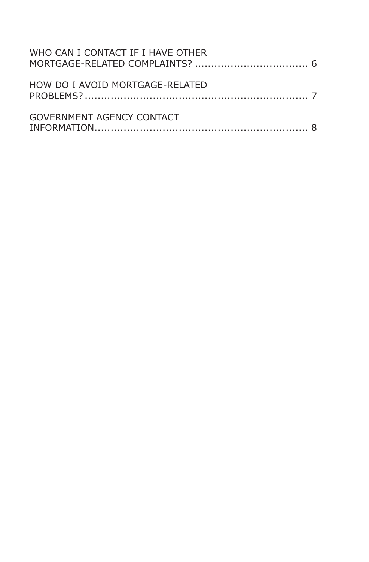| WHO CAN I CONTACT IF I HAVE OTHER |  |
|-----------------------------------|--|
| HOW DO I AVOID MORTGAGE-RELATED   |  |
| GOVERNMENT AGENCY CONTACT         |  |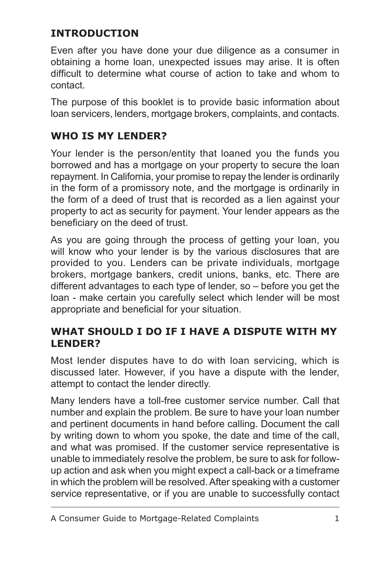# **INTRODUCTION**

Even after you have done your due diligence as a consumer in obtaining a home loan, unexpected issues may arise. It is often difficult to determine what course of action to take and whom to contact.

The purpose of this booklet is to provide basic information about loan servicers, lenders, mortgage brokers, complaints, and contacts.

# **WHO IS MY LENDER?**

Your lender is the person/entity that loaned you the funds you borrowed and has a mortgage on your property to secure the loan repayment. In California, your promise to repay the lender is ordinarily in the form of a promissory note, and the mortgage is ordinarily in the form of a deed of trust that is recorded as a lien against your property to act as security for payment. Your lender appears as the beneficiary on the deed of trust.

As you are going through the process of getting your loan, you will know who your lender is by the various disclosures that are provided to you. Lenders can be private individuals, mortgage brokers, mortgage bankers, credit unions, banks, etc. There are different advantages to each type of lender, so – before you get the loan - make certain you carefully select which lender will be most appropriate and beneficial for your situation.

# **WHAT SHOULD I DO IF I HAVE A DISPUTE WITH MY LENDER?**

Most lender disputes have to do with loan servicing, which is discussed later. However, if you have a dispute with the lender, attempt to contact the lender directly.

Many lenders have a toll-free customer service number. Call that number and explain the problem. Be sure to have your loan number and pertinent documents in hand before calling. Document the call by writing down to whom you spoke, the date and time of the call, and what was promised. If the customer service representative is unable to immediately resolve the problem, be sure to ask for followup action and ask when you might expect a call-back or a timeframe in which the problem will be resolved. After speaking with a customer service representative, or if you are unable to successfully contact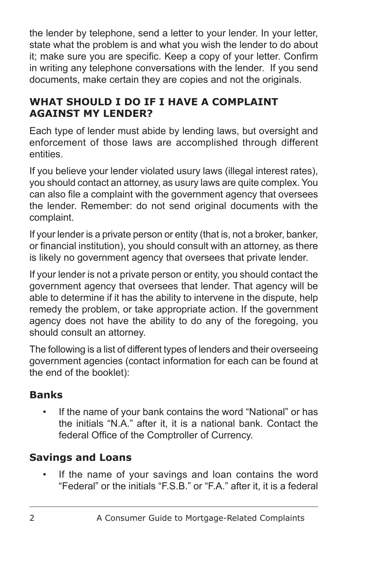the lender by telephone, send a letter to your lender. In your letter, state what the problem is and what you wish the lender to do about it; make sure you are specific. Keep a copy of your letter. Confirm in writing any telephone conversations with the lender. If you send documents, make certain they are copies and not the originals.

# **WHAT SHOULD I DO IF I HAVE A COMPLAINT AGAINST MY LENDER?**

Each type of lender must abide by lending laws, but oversight and enforcement of those laws are accomplished through different entities.

If you believe your lender violated usury laws (illegal interest rates), you should contact an attorney, as usury laws are quite complex. You can also file a complaint with the government agency that oversees the lender. Remember: do not send original documents with the complaint.

If your lender is a private person or entity (that is, not a broker, banker, or financial institution), you should consult with an attorney, as there is likely no government agency that oversees that private lender.

If your lender is not a private person or entity, you should contact the government agency that oversees that lender. That agency will be able to determine if it has the ability to intervene in the dispute, help remedy the problem, or take appropriate action. If the government agency does not have the ability to do any of the foregoing, you should consult an attorney.

The following is a list of different types of lenders and their overseeing government agencies (contact information for each can be found at the end of the booklet):

# **Banks**

If the name of your bank contains the word "National" or has the initials "N.A." after it, it is a national bank. Contact the federal Office of the Comptroller of Currency.

# **Savings and Loans**

If the name of your savings and loan contains the word "Federal" or the initials "F.S.B." or "F.A." after it, it is a federal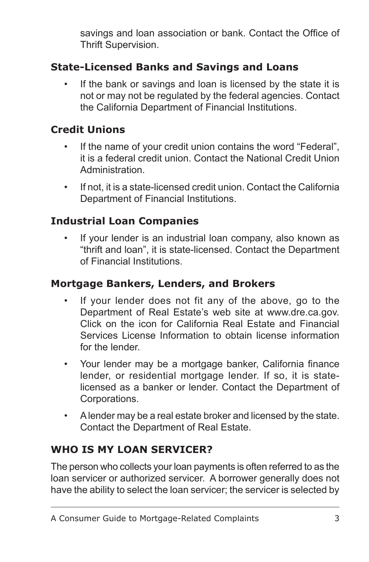savings and loan association or bank. Contact the Office of Thrift Supervision.

# **State-Licensed Banks and Savings and Loans**

If the bank or savings and loan is licensed by the state it is not or may not be regulated by the federal agencies. Contact the California Department of Financial Institutions.

#### **Credit Unions**

- If the name of your credit union contains the word "Federal", it is a federal credit union. Contact the National Credit Union Administration.
- If not, it is a state-licensed credit union. Contact the California Department of Financial Institutions.

#### **Industrial Loan Companies**

If your lender is an industrial loan company, also known as "thrift and loan", it is state-licensed. Contact the Department of Financial Institutions.

#### **Mortgage Bankers, Lenders, and Brokers**

- If your lender does not fit any of the above, go to the Department of Real Estate's web site at www.dre.ca.gov. Click on the icon for California Real Estate and Financial Services License Information to obtain license information for the lender.
- Your lender may be a mortgage banker, California finance lender, or residential mortgage lender. If so, it is statelicensed as a banker or lender. Contact the Department of Corporations.
- A lender may be a real estate broker and licensed by the state. Contact the Department of Real Estate.

## **WHO IS MY LOAN SERVICER?**

The person who collects your loan payments is often referred to as the loan servicer or authorized servicer. A borrower generally does not have the ability to select the loan servicer; the servicer is selected by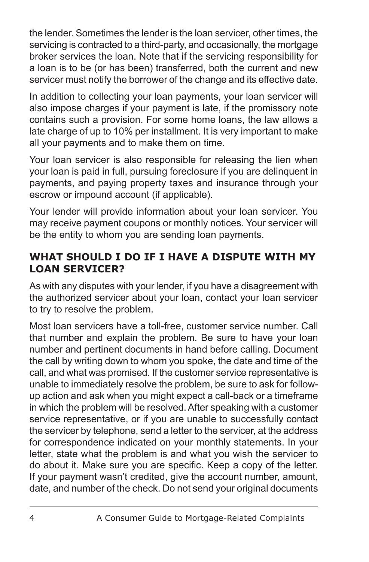the lender. Sometimes the lender is the loan servicer, other times, the servicing is contracted to a third-party, and occasionally, the mortgage broker services the loan. Note that if the servicing responsibility for a loan is to be (or has been) transferred, both the current and new servicer must notify the borrower of the change and its effective date.

In addition to collecting your loan payments, your loan servicer will also impose charges if your payment is late, if the promissory note contains such a provision. For some home loans, the law allows a late charge of up to 10% per installment. It is very important to make all your payments and to make them on time.

Your loan servicer is also responsible for releasing the lien when your loan is paid in full, pursuing foreclosure if you are delinquent in payments, and paying property taxes and insurance through your escrow or impound account (if applicable).

Your lender will provide information about your loan servicer. You may receive payment coupons or monthly notices. Your servicer will be the entity to whom you are sending loan payments.

### **WHAT SHOULD I DO IF I HAVE A DISPUTE WITH MY LOAN SERVICER?**

As with any disputes with your lender, if you have a disagreement with the authorized servicer about your loan, contact your loan servicer to try to resolve the problem.

Most loan servicers have a toll-free, customer service number. Call that number and explain the problem. Be sure to have your loan number and pertinent documents in hand before calling. Document the call by writing down to whom you spoke, the date and time of the call, and what was promised. If the customer service representative is unable to immediately resolve the problem, be sure to ask for followup action and ask when you might expect a call-back or a timeframe in which the problem will be resolved. After speaking with a customer service representative, or if you are unable to successfully contact the servicer by telephone, send a letter to the servicer, at the address for correspondence indicated on your monthly statements. In your letter, state what the problem is and what you wish the servicer to do about it. Make sure you are specific. Keep a copy of the letter. If your payment wasn't credited, give the account number, amount, date, and number of the check. Do not send your original documents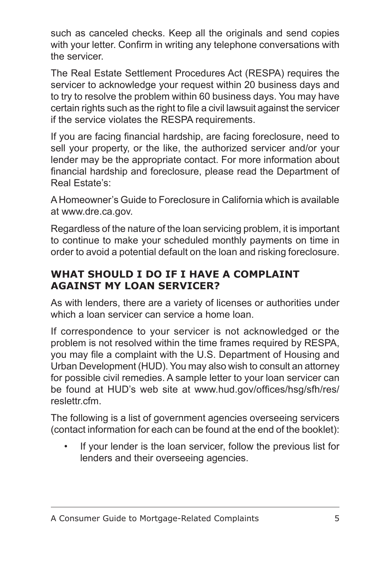such as canceled checks. Keep all the originals and send copies with your letter. Confirm in writing any telephone conversations with the servicer.

The Real Estate Settlement Procedures Act (RESPA) requires the servicer to acknowledge your request within 20 business days and to try to resolve the problem within 60 business days. You may have certain rights such as the right to file a civil lawsuit against the servicer if the service violates the RESPA requirements.

If you are facing financial hardship, are facing foreclosure, need to sell your property, or the like, the authorized servicer and/or your lender may be the appropriate contact. For more information about financial hardship and foreclosure, please read the Department of Real Estate's:

A Homeowner's Guide to Foreclosure in California which is available at www.dre.ca.gov.

Regardless of the nature of the loan servicing problem, it is important to continue to make your scheduled monthly payments on time in order to avoid a potential default on the loan and risking foreclosure.

# **WHAT SHOULD I DO IF I HAVE A COMPLAINT AGAINST MY LOAN SERVICER?**

As with lenders, there are a variety of licenses or authorities under which a loan servicer can service a home loan.

If correspondence to your servicer is not acknowledged or the problem is not resolved within the time frames required by RESPA, you may file a complaint with the U.S. Department of Housing and Urban Development (HUD). You may also wish to consult an attorney for possible civil remedies. A sample letter to your loan servicer can be found at HUD's web site at www.hud.gov/offices/hsg/sfh/res/ reslettr.cfm.

The following is a list of government agencies overseeing servicers (contact information for each can be found at the end of the booklet):

If your lender is the loan servicer, follow the previous list for lenders and their overseeing agencies.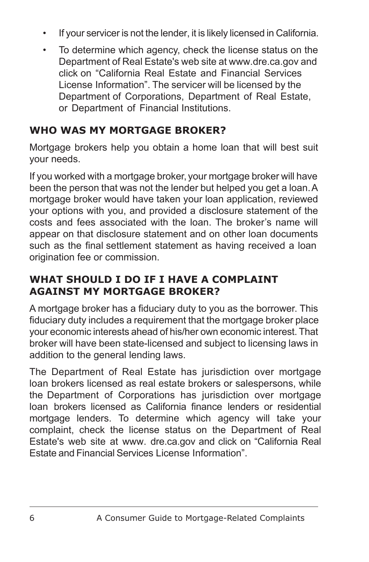- If your servicer is not the lender, it is likely licensed in California.
- To determine which agency, check the license status on the Department of Real Estate's web site at www.dre.ca.gov and click on "California Real Estate and Financial Services License Information". The servicer will be licensed by the Department of Corporations, Department of Real Estate, or Department of Financial Institutions.

# **WHO WAS MY MORTGAGE BROKER?**

Mortgage brokers help you obtain a home loan that will best suit your needs.

If you worked with a mortgage broker, your mortgage broker will have been the person that was not the lender but helped you get a loan.A mortgage broker would have taken your loan application, reviewed your options with you, and provided a disclosure statement of the costs and fees associated with the loan. The broker's name will appear on that disclosure statement and on other loan documents such as the final settlement statement as having received a loan origination fee or commission.

# **WHAT SHOULD I DO IF I HAVE A COMPLAINT AGAINST MY MORTGAGE BROKER?**

A mortgage broker has a fiduciary duty to you as the borrower. This fiduciary duty includes a requirement that the mortgage broker place your economic interests ahead of his/her own economic interest. That broker will have been state-licensed and subject to licensing laws in addition to the general lending laws.

The Department of Real Estate has jurisdiction over mortgage loan brokers licensed as real estate brokers or salespersons, while the Department of Corporations has jurisdiction over mortgage loan brokers licensed as California finance lenders or residential mortgage lenders. To determine which agency will take your complaint, check the license status on the Department of Real Estate's web site at www. dre.ca.gov and click on "California Real Estate and Financial Services License Information".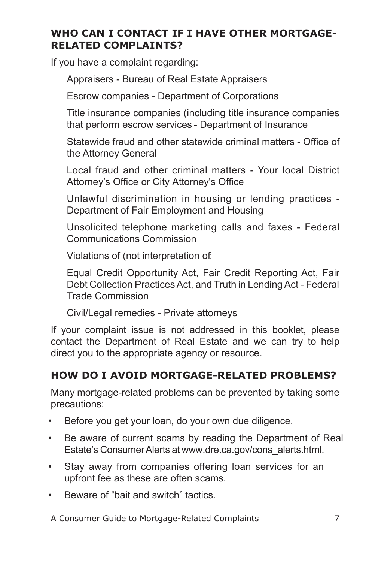# **WHO CAN I CONTACT IF I HAVE OTHER MORTGAGE-RELATED COMPLAINTS?**

If you have a complaint regarding:

Appraisers - Bureau of Real Estate Appraisers

Escrow companies - Department of Corporations

Title insurance companies (including title insurance companies that perform escrow services - Department of Insurance

Statewide fraud and other statewide criminal matters - Office of the Attorney General

Local fraud and other criminal matters - Your local District Attorney's Office or City Attorney's Office

Unlawful discrimination in housing or lending practices - Department of Fair Employment and Housing

Unsolicited telephone marketing calls and faxes - Federal Communications Commission

Violations of (not interpretation of:

Equal Credit Opportunity Act, Fair Credit Reporting Act, Fair Debt Collection Practices Act, and Truth in Lending Act - Federal Trade Commission

Civil/Legal remedies - Private attorneys

If your complaint issue is not addressed in this booklet, please contact the Department of Real Estate and we can try to help direct you to the appropriate agency or resource.

# **HOW DO I AVOID MORTGAGE-RELATED PROBLEMS?**

Many mortgage-related problems can be prevented by taking some precautions:

- Before you get your loan, do your own due diligence.
- Be aware of current scams by reading the Department of Real Estate's Consumer Alerts at www.dre.ca.gov/cons\_alerts.html.
- Stay away from companies offering loan services for an upfront fee as these are often scams.
- Beware of "bait and switch" tactics.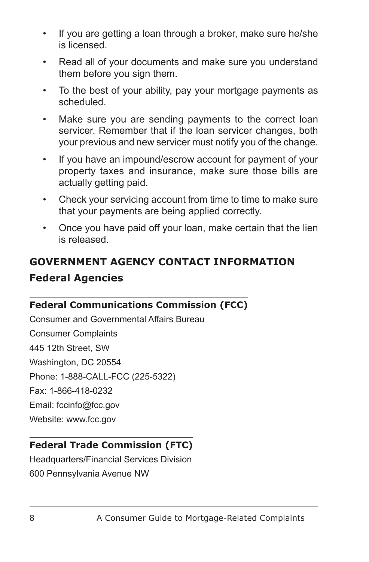- If you are getting a loan through a broker, make sure he/she is licensed.
- Read all of your documents and make sure you understand them before you sign them.
- To the best of your ability, pay your mortgage payments as scheduled.
- Make sure you are sending payments to the correct loan servicer. Remember that if the loan servicer changes, both your previous and new servicer must notify you of the change.
- If you have an impound/escrow account for payment of your property taxes and insurance, make sure those bills are actually getting paid.
- Check your servicing account from time to time to make sure that your payments are being applied correctly.
- Once you have paid off your loan, make certain that the lien is released.

# **GOVERNMENT AGENCY CONTACT INFORMATION Federal Agencies**

#### **Federal Communications Commission (FCC)**

Consumer and Governmental Affairs Bureau Consumer Complaints 445 12th Street, SW Washington, DC 20554 Phone: 1-888-CALL-FCC (225-5322) Fax: 1-866-418-0232 Email: fccinfo@fcc.gov Website: www.fcc.gov

# **Federal Trade Commission (FTC)**

Headquarters/Financial Services Division 600 Pennsylvania Avenue NW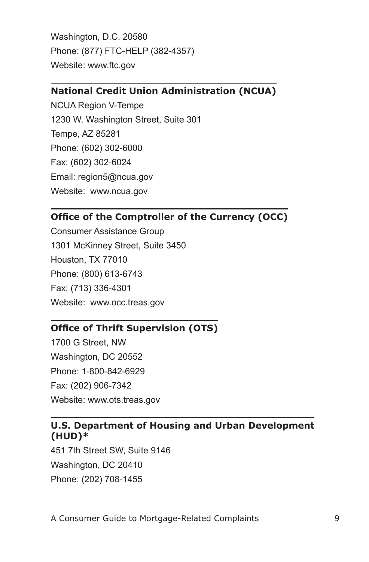Washington, D.C. 20580 Phone: (877) FTC-HELP (382-4357) Website: www.ftc.gov

#### **National Credit Union Administration (NCUA)**

NCUA Region V-Tempe 1230 W. Washington Street, Suite 301 Tempe, AZ 85281 Phone: (602) 302-6000 Fax: (602) 302-6024 Email: region5@ncua.gov Website: www.ncua.gov

#### **Office of the Comptroller of the Currency (OCC)**

Consumer Assistance Group 1301 McKinney Street, Suite 3450 Houston, TX 77010 Phone: (800) 613-6743 Fax: (713) 336-4301 Website: www.occ.treas.gov

#### **Office of Thrift Supervision (OTS)**

1700 G Street, NW Washington, DC 20552 Phone: 1-800-842-6929 Fax: (202) 906-7342 Website: www.ots.treas.gov

#### **U.S. Department of Housing and Urban Development (HUD)\***

451 7th Street SW, Suite 9146 Washington, DC 20410 Phone: (202) 708-1455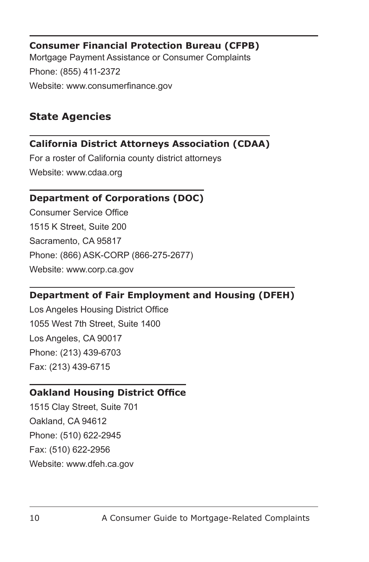#### **Consumer Financial Protection Bureau (CFPB)** Mortgage Payment Assistance or Consumer Complaints Phone: (855) 411-2372 Website: www.consumerfinance.gov

# **State Agencies**

#### **California District Attorneys Association (CDAA)**

For a roster of California county district attorneys Website: www.cdaa.org

#### **Department of Corporations (DOC)**

Consumer Service Office 1515 K Street, Suite 200 Sacramento, CA 95817 Phone: (866) ASK-CORP (866-275-2677) Website: www.corp.ca.gov

#### **Department of Fair Employment and Housing (DFEH)**

Los Angeles Housing District Office 1055 West 7th Street, Suite 1400 Los Angeles, CA 90017 Phone: (213) 439-6703 Fax: (213) 439-6715

#### **Oakland Housing District Office**

1515 Clay Street, Suite 701 Oakland, CA 94612 Phone: (510) 622-2945 Fax: (510) 622-2956 Website: www.dfeh.ca.gov